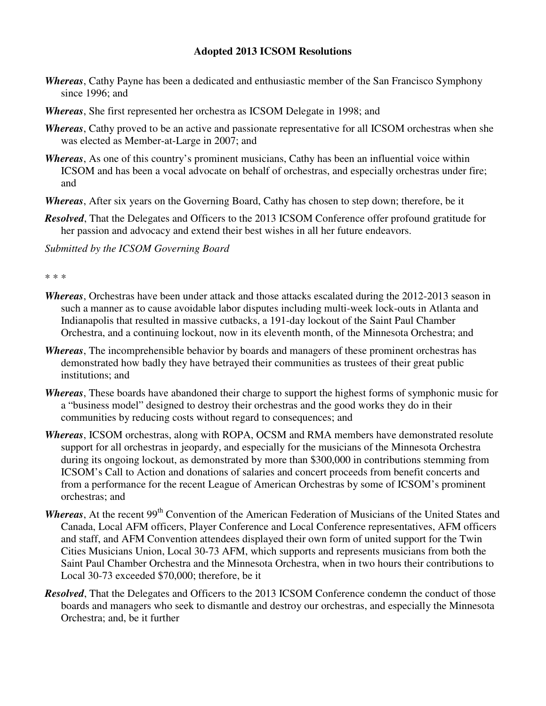## **Adopted 2013 ICSOM Resolutions**

- *Whereas*, Cathy Payne has been a dedicated and enthusiastic member of the San Francisco Symphony since 1996; and
- *Whereas*, She first represented her orchestra as ICSOM Delegate in 1998; and
- *Whereas*, Cathy proved to be an active and passionate representative for all ICSOM orchestras when she was elected as Member-at-Large in 2007; and
- *Whereas*, As one of this country's prominent musicians, Cathy has been an influential voice within ICSOM and has been a vocal advocate on behalf of orchestras, and especially orchestras under fire; and
- *Whereas*, After six years on the Governing Board, Cathy has chosen to step down; therefore, be it
- *Resolved*, That the Delegates and Officers to the 2013 ICSOM Conference offer profound gratitude for her passion and advocacy and extend their best wishes in all her future endeavors.

*Submitted by the ICSOM Governing Board* 

\* \* \*

- *Whereas*, Orchestras have been under attack and those attacks escalated during the 2012-2013 season in such a manner as to cause avoidable labor disputes including multi-week lock-outs in Atlanta and Indianapolis that resulted in massive cutbacks, a 191-day lockout of the Saint Paul Chamber Orchestra, and a continuing lockout, now in its eleventh month, of the Minnesota Orchestra; and
- *Whereas*, The incomprehensible behavior by boards and managers of these prominent orchestras has demonstrated how badly they have betrayed their communities as trustees of their great public institutions; and
- *Whereas*, These boards have abandoned their charge to support the highest forms of symphonic music for a "business model" designed to destroy their orchestras and the good works they do in their communities by reducing costs without regard to consequences; and
- *Whereas*, ICSOM orchestras, along with ROPA, OCSM and RMA members have demonstrated resolute support for all orchestras in jeopardy, and especially for the musicians of the Minnesota Orchestra during its ongoing lockout, as demonstrated by more than \$300,000 in contributions stemming from ICSOM's Call to Action and donations of salaries and concert proceeds from benefit concerts and from a performance for the recent League of American Orchestras by some of ICSOM's prominent orchestras; and
- *Whereas*, At the recent 99<sup>th</sup> Convention of the American Federation of Musicians of the United States and Canada, Local AFM officers, Player Conference and Local Conference representatives, AFM officers and staff, and AFM Convention attendees displayed their own form of united support for the Twin Cities Musicians Union, Local 30-73 AFM, which supports and represents musicians from both the Saint Paul Chamber Orchestra and the Minnesota Orchestra, when in two hours their contributions to Local 30-73 exceeded \$70,000; therefore, be it
- *Resolved*, That the Delegates and Officers to the 2013 ICSOM Conference condemn the conduct of those boards and managers who seek to dismantle and destroy our orchestras, and especially the Minnesota Orchestra; and, be it further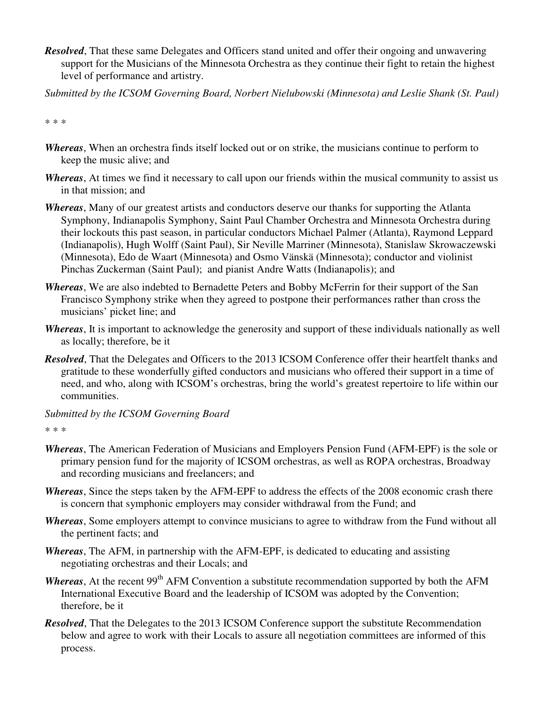- *Resolved*, That these same Delegates and Officers stand united and offer their ongoing and unwavering support for the Musicians of the Minnesota Orchestra as they continue their fight to retain the highest level of performance and artistry.
- *Submitted by the ICSOM Governing Board, Norbert Nielubowski (Minnesota) and Leslie Shank (St. Paul)*

\* \* \*

- *Whereas*, When an orchestra finds itself locked out or on strike, the musicians continue to perform to keep the music alive; and
- *Whereas*, At times we find it necessary to call upon our friends within the musical community to assist us in that mission; and
- *Whereas*, Many of our greatest artists and conductors deserve our thanks for supporting the Atlanta Symphony, Indianapolis Symphony, Saint Paul Chamber Orchestra and Minnesota Orchestra during their lockouts this past season, in particular conductors Michael Palmer (Atlanta), Raymond Leppard (Indianapolis), Hugh Wolff (Saint Paul), Sir Neville Marriner (Minnesota), Stanislaw Skrowaczewski (Minnesota), Edo de Waart (Minnesota) and Osmo Vänskä (Minnesota); conductor and violinist Pinchas Zuckerman (Saint Paul); and pianist Andre Watts (Indianapolis); and
- *Whereas*, We are also indebted to Bernadette Peters and Bobby McFerrin for their support of the San Francisco Symphony strike when they agreed to postpone their performances rather than cross the musicians' picket line; and
- *Whereas*, It is important to acknowledge the generosity and support of these individuals nationally as well as locally; therefore, be it
- *Resolved*, That the Delegates and Officers to the 2013 ICSOM Conference offer their heartfelt thanks and gratitude to these wonderfully gifted conductors and musicians who offered their support in a time of need, and who, along with ICSOM's orchestras, bring the world's greatest repertoire to life within our communities.
- *Submitted by the ICSOM Governing Board*

```
* * *
```
- *Whereas*, The American Federation of Musicians and Employers Pension Fund (AFM-EPF) is the sole or primary pension fund for the majority of ICSOM orchestras, as well as ROPA orchestras, Broadway and recording musicians and freelancers; and
- *Whereas*, Since the steps taken by the AFM-EPF to address the effects of the 2008 economic crash there is concern that symphonic employers may consider withdrawal from the Fund; and
- *Whereas*, Some employers attempt to convince musicians to agree to withdraw from the Fund without all the pertinent facts; and
- *Whereas*, The AFM, in partnership with the AFM-EPF, is dedicated to educating and assisting negotiating orchestras and their Locals; and
- *Whereas*, At the recent 99<sup>th</sup> AFM Convention a substitute recommendation supported by both the AFM International Executive Board and the leadership of ICSOM was adopted by the Convention; therefore, be it
- *Resolved*, That the Delegates to the 2013 ICSOM Conference support the substitute Recommendation below and agree to work with their Locals to assure all negotiation committees are informed of this process.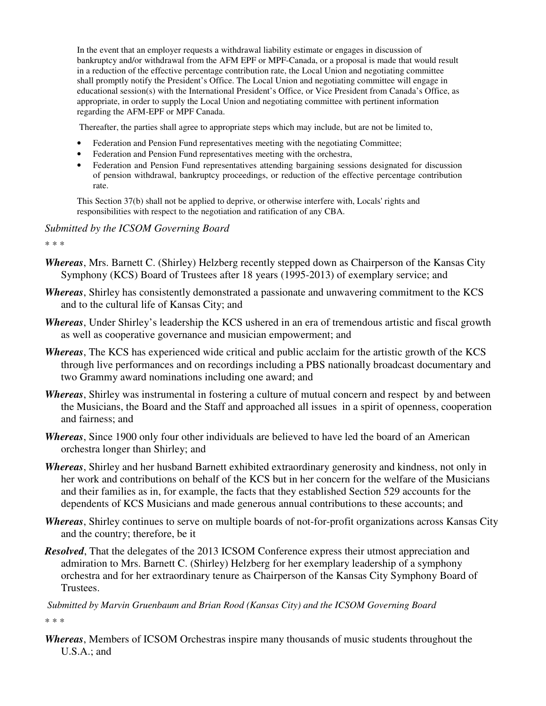In the event that an employer requests a withdrawal liability estimate or engages in discussion of bankruptcy and/or withdrawal from the AFM EPF or MPF-Canada, or a proposal is made that would result in a reduction of the effective percentage contribution rate, the Local Union and negotiating committee shall promptly notify the President's Office. The Local Union and negotiating committee will engage in educational session(s) with the International President's Office, or Vice President from Canada's Office, as appropriate, in order to supply the Local Union and negotiating committee with pertinent information regarding the AFM-EPF or MPF Canada.

Thereafter, the parties shall agree to appropriate steps which may include, but are not be limited to,

- Federation and Pension Fund representatives meeting with the negotiating Committee;
- Federation and Pension Fund representatives meeting with the orchestra,
- Federation and Pension Fund representatives attending bargaining sessions designated for discussion of pension withdrawal, bankruptcy proceedings, or reduction of the effective percentage contribution rate.

This Section 37(b) shall not be applied to deprive, or otherwise interfere with, Locals' rights and responsibilities with respect to the negotiation and ratification of any CBA.

*Submitted by the ICSOM Governing Board* 

\* \* \*

- *Whereas*, Mrs. Barnett C. (Shirley) Helzberg recently stepped down as Chairperson of the Kansas City Symphony (KCS) Board of Trustees after 18 years (1995-2013) of exemplary service; and
- *Whereas*, Shirley has consistently demonstrated a passionate and unwavering commitment to the KCS and to the cultural life of Kansas City; and
- *Whereas*, Under Shirley's leadership the KCS ushered in an era of tremendous artistic and fiscal growth as well as cooperative governance and musician empowerment; and
- *Whereas*, The KCS has experienced wide critical and public acclaim for the artistic growth of the KCS through live performances and on recordings including a PBS nationally broadcast documentary and two Grammy award nominations including one award; and
- *Whereas*, Shirley was instrumental in fostering a culture of mutual concern and respect by and between the Musicians, the Board and the Staff and approached all issues in a spirit of openness, cooperation and fairness; and
- *Whereas*, Since 1900 only four other individuals are believed to have led the board of an American orchestra longer than Shirley; and
- *Whereas*, Shirley and her husband Barnett exhibited extraordinary generosity and kindness, not only in her work and contributions on behalf of the KCS but in her concern for the welfare of the Musicians and their families as in, for example, the facts that they established Section 529 accounts for the dependents of KCS Musicians and made generous annual contributions to these accounts; and
- *Whereas*, Shirley continues to serve on multiple boards of not-for-profit organizations across Kansas City and the country; therefore, be it
- *Resolved*, That the delegates of the 2013 ICSOM Conference express their utmost appreciation and admiration to Mrs. Barnett C. (Shirley) Helzberg for her exemplary leadership of a symphony orchestra and for her extraordinary tenure as Chairperson of the Kansas City Symphony Board of Trustees.

*Submitted by Marvin Gruenbaum and Brian Rood (Kansas City) and the ICSOM Governing Board*  \* \* \*

*Whereas*, Members of ICSOM Orchestras inspire many thousands of music students throughout the U.S.A.; and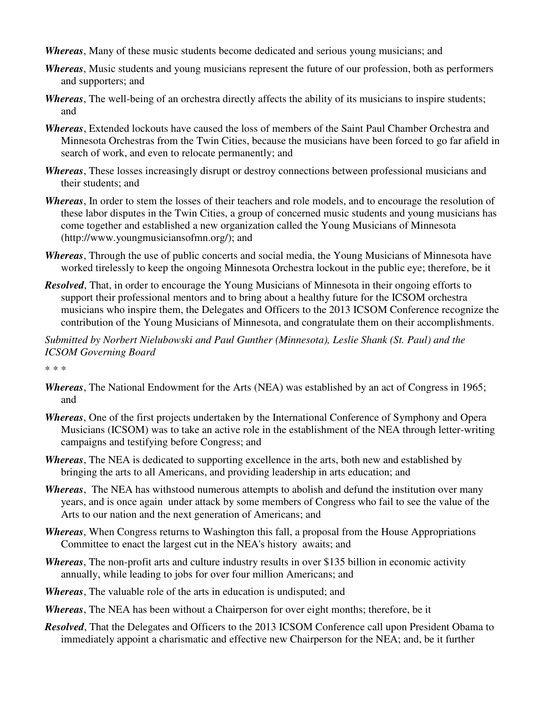- *Whereas*, Many of these music students become dedicated and serious young musicians; and
- *Whereas*, Music students and young musicians represent the future of our profession, both as performers and supporters; and
- *Whereas*, The well-being of an orchestra directly affects the ability of its musicians to inspire students; and
- *Whereas*, Extended lockouts have caused the loss of members of the Saint Paul Chamber Orchestra and Minnesota Orchestras from the Twin Cities, because the musicians have been forced to go far afield in search of work, and even to relocate permanently; and
- *Whereas*, These losses increasingly disrupt or destroy connections between professional musicians and their students; and
- *Whereas*, In order to stem the losses of their teachers and role models, and to encourage the resolution of these labor disputes in the Twin Cities, a group of concerned music students and young musicians has come together and established a new organization called the Young Musicians of Minnesota (http://www.youngmusiciansofmn.org/); and
- *Whereas*, Through the use of public concerts and social media, the Young Musicians of Minnesota have worked tirelessly to keep the ongoing Minnesota Orchestra lockout in the public eye; therefore, be it
- *Resolved*, That, in order to encourage the Young Musicians of Minnesota in their ongoing efforts to support their professional mentors and to bring about a healthy future for the ICSOM orchestra musicians who inspire them, the Delegates and Officers to the 2013 ICSOM Conference recognize the contribution of the Young Musicians of Minnesota, and congratulate them on their accomplishments.

*Submitted by Norbert Nielubowski and Paul Gunther (Minnesota), Leslie Shank (St. Paul) and the ICSOM Governing Board* 

\* \* \*

- *Whereas*, The National Endowment for the Arts (NEA) was established by an act of Congress in 1965; and
- *Whereas*, One of the first projects undertaken by the International Conference of Symphony and Opera Musicians (ICSOM) was to take an active role in the establishment of the NEA through letter-writing campaigns and testifying before Congress; and
- *Whereas*, The NEA is dedicated to supporting excellence in the arts, both new and established by bringing the arts to all Americans, and providing leadership in arts education; and
- *Whereas*, The NEA has withstood numerous attempts to abolish and defund the institution over many years, and is once again under attack by some members of Congress who fail to see the value of the Arts to our nation and the next generation of Americans; and
- *Whereas*, When Congress returns to Washington this fall, a proposal from the House Appropriations Committee to enact the largest cut in the NEA's history awaits; and
- *Whereas*, The non-profit arts and culture industry results in over \$135 billion in economic activity annually, while leading to jobs for over four million Americans; and
- *Whereas*, The valuable role of the arts in education is undisputed; and
- *Whereas*, The NEA has been without a Chairperson for over eight months; therefore, be it
- *Resolved*, That the Delegates and Officers to the 2013 ICSOM Conference call upon President Obama to immediately appoint a charismatic and effective new Chairperson for the NEA; and, be it further